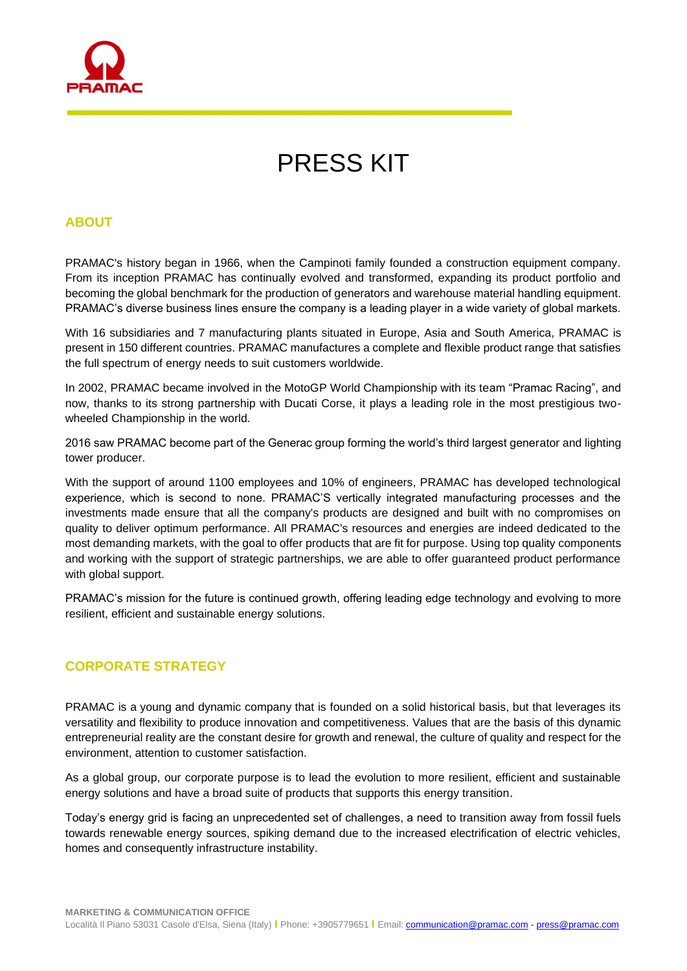

# PRESS KIT

# **ABOUT**

PRAMAC's history began in 1966, when the Campinoti family founded a construction equipment company. From its inception PRAMAC has continually evolved and transformed, expanding its product portfolio and becoming the global benchmark for the production of generators and warehouse material handling equipment. PRAMAC's diverse business lines ensure the company is a leading player in a wide variety of global markets.

With 16 subsidiaries and 7 manufacturing plants situated in Europe, Asia and South America, PRAMAC is present in 150 different countries. PRAMAC manufactures a complete and flexible product range that satisfies the full spectrum of energy needs to suit customers worldwide.

In 2002, PRAMAC became involved in the MotoGP World Championship with its team "Pramac Racing", and now, thanks to its strong partnership with Ducati Corse, it plays a leading role in the most prestigious twowheeled Championship in the world.

2016 saw PRAMAC become part of the Generac group forming the world's third largest generator and lighting tower producer.

With the support of around 1100 employees and 10% of engineers, PRAMAC has developed technological experience, which is second to none. PRAMAC'S vertically integrated manufacturing processes and the investments made ensure that all the company's products are designed and built with no compromises on quality to deliver optimum performance. All PRAMAC's resources and energies are indeed dedicated to the most demanding markets, with the goal to offer products that are fit for purpose. Using top quality components and working with the support of strategic partnerships, we are able to offer guaranteed product performance with global support.

PRAMAC's mission for the future is continued growth, offering leading edge technology and evolving to more resilient, efficient and sustainable energy solutions.

### **CORPORATE STRATEGY**

PRAMAC is a young and dynamic company that is founded on a solid historical basis, but that leverages its versatility and flexibility to produce innovation and competitiveness. Values that are the basis of this dynamic entrepreneurial reality are the constant desire for growth and renewal, the culture of quality and respect for the environment, attention to customer satisfaction.

As a global group, our corporate purpose is to lead the evolution to more resilient, efficient and sustainable energy solutions and have a broad suite of products that supports this energy transition.

Today's energy grid is facing an unprecedented set of challenges, a need to transition away from fossil fuels towards renewable energy sources, spiking demand due to the increased electrification of electric vehicles, homes and consequently infrastructure instability.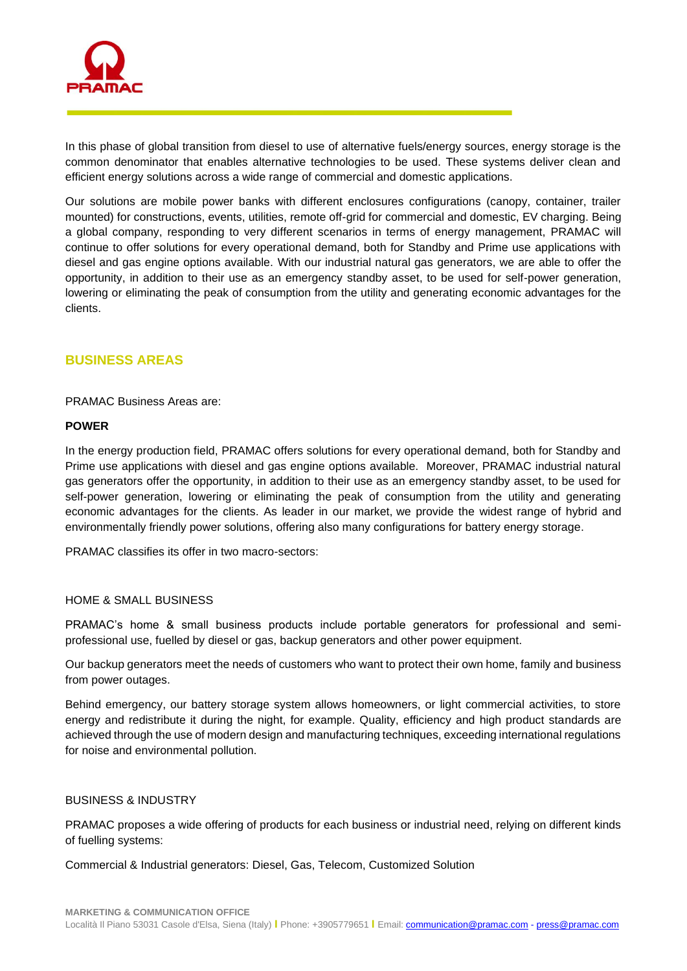

In this phase of global transition from diesel to use of alternative fuels/energy sources, energy storage is the common denominator that enables alternative technologies to be used. These systems deliver clean and efficient energy solutions across a wide range of commercial and domestic applications.

Our solutions are mobile power banks with different enclosures configurations (canopy, container, trailer mounted) for constructions, events, utilities, remote off-grid for commercial and domestic, EV charging. Being a global company, responding to very different scenarios in terms of energy management, PRAMAC will continue to offer solutions for every operational demand, both for Standby and Prime use applications with diesel and gas engine options available. With our industrial natural gas generators, we are able to offer the opportunity, in addition to their use as an emergency standby asset, to be used for self-power generation, lowering or eliminating the peak of consumption from the utility and generating economic advantages for the clients.

# **BUSINESS AREAS**

PRAMAC Business Areas are:

#### **POWER**

In the energy production field, PRAMAC offers solutions for every operational demand, both for Standby and Prime use applications with diesel and gas engine options available. Moreover, PRAMAC industrial natural gas generators offer the opportunity, in addition to their use as an emergency standby asset, to be used for self-power generation, lowering or eliminating the peak of consumption from the utility and generating economic advantages for the clients. As leader in our market, we provide the widest range of hybrid and environmentally friendly power solutions, offering also many configurations for battery energy storage.

PRAMAC classifies its offer in two macro-sectors:

#### HOME & SMALL BUSINESS

PRAMAC's home & small business products include portable generators for professional and semiprofessional use, fuelled by diesel or gas, backup generators and other power equipment.

Our backup generators meet the needs of customers who want to protect their own home, family and business from power outages.

Behind emergency, our battery storage system allows homeowners, or light commercial activities, to store energy and redistribute it during the night, for example. Quality, efficiency and high product standards are achieved through the use of modern design and manufacturing techniques, exceeding international regulations for noise and environmental pollution.

#### BUSINESS & INDUSTRY

PRAMAC proposes a wide offering of products for each business or industrial need, relying on different kinds of fuelling systems:

Commercial & Industrial generators: Diesel, Gas, Telecom, Customized Solution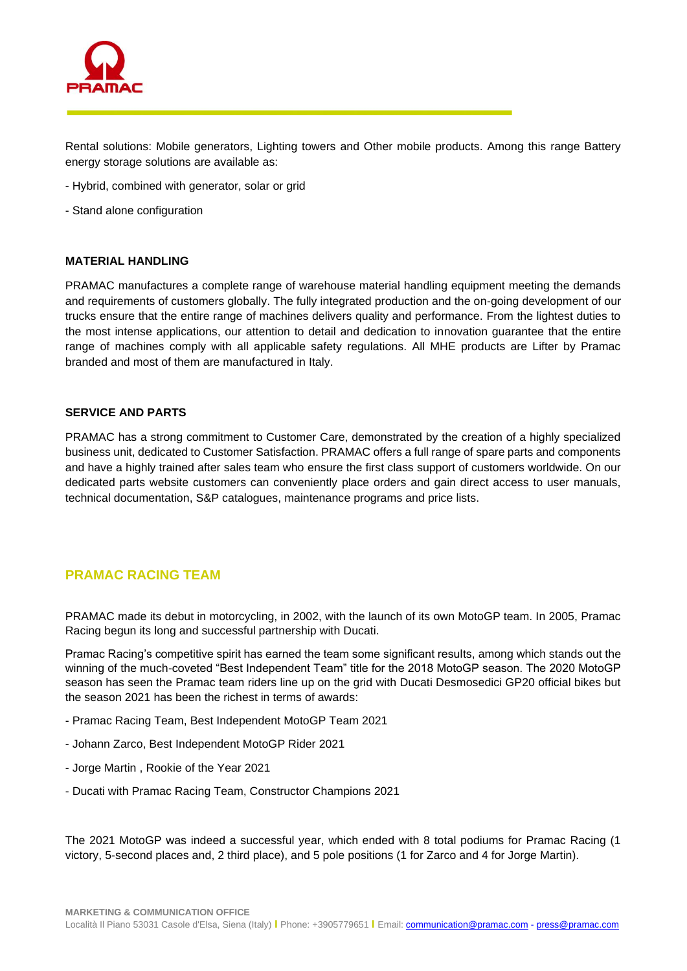

Rental solutions: Mobile generators, Lighting towers and Other mobile products. Among this range Battery energy storage solutions are available as:

- Hybrid, combined with generator, solar or grid
- Stand alone configuration

#### **MATERIAL HANDLING**

PRAMAC manufactures a complete range of warehouse material handling equipment meeting the demands and requirements of customers globally. The fully integrated production and the on-going development of our trucks ensure that the entire range of machines delivers quality and performance. From the lightest duties to the most intense applications, our attention to detail and dedication to innovation guarantee that the entire range of machines comply with all applicable safety regulations. All MHE products are Lifter by Pramac branded and most of them are manufactured in Italy.

#### **SERVICE AND PARTS**

PRAMAC has a strong commitment to Customer Care, demonstrated by the creation of a highly specialized business unit, dedicated to Customer Satisfaction. PRAMAC offers a full range of spare parts and components and have a highly trained after sales team who ensure the first class support of customers worldwide. On our dedicated parts website customers can conveniently place orders and gain direct access to user manuals, technical documentation, S&P catalogues, maintenance programs and price lists.

# **PRAMAC RACING TEAM**

PRAMAC made its debut in motorcycling, in 2002, with the launch of its own MotoGP team. In 2005, Pramac Racing begun its long and successful partnership with Ducati.

Pramac Racing's competitive spirit has earned the team some significant results, among which stands out the winning of the much-coveted "Best Independent Team" title for the 2018 MotoGP season. The 2020 MotoGP season has seen the Pramac team riders line up on the grid with Ducati Desmosedici GP20 official bikes but the season 2021 has been the richest in terms of awards:

- Pramac Racing Team, Best Independent MotoGP Team 2021
- Johann Zarco, Best Independent MotoGP Rider 2021
- Jorge Martin , Rookie of the Year 2021
- Ducati with Pramac Racing Team, Constructor Champions 2021

The 2021 MotoGP was indeed a successful year, which ended with 8 total podiums for Pramac Racing (1 victory, 5-second places and, 2 third place), and 5 pole positions (1 for Zarco and 4 for Jorge Martin).